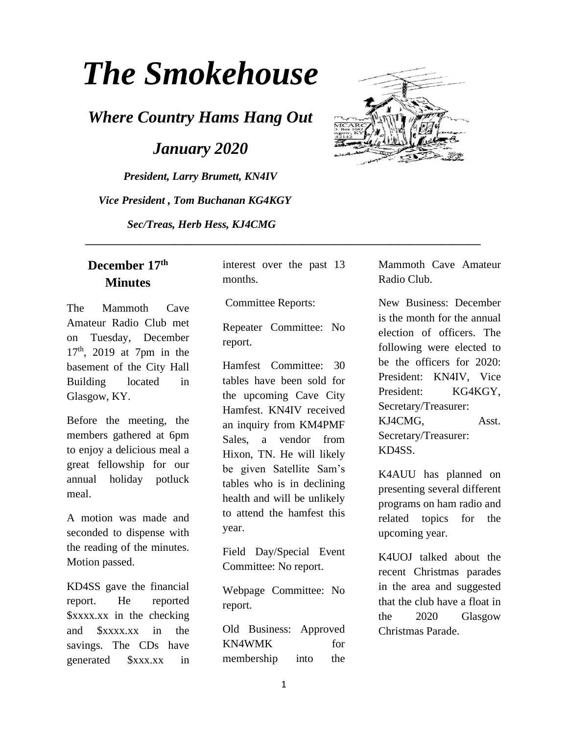# *The Smokehouse*

*Where Country Hams Hang Out*

 *January 2020*

*President, Larry Brumett, KN4IV Vice President , Tom Buchanan KG4KGY Sec/Treas, Herb Hess, KJ4CMG*



### **December 17th Minutes**

The Mammoth Cave Amateur Radio Club met on Tuesday, December  $17<sup>th</sup>$ , 2019 at 7pm in the basement of the City Hall Building located in Glasgow, KY.

Before the meeting, the members gathered at 6pm to enjoy a delicious meal a great fellowship for our annual holiday potluck meal.

A motion was made and seconded to dispense with the reading of the minutes. Motion passed.

KD4SS gave the financial report. He reported \$xxxx.xx in the checking and \$xxxx.xx in the savings. The CDs have generated \$xxx.xx in

interest over the past 13 months.

Committee Reports:

 **\_\_\_\_\_\_\_\_\_\_\_\_\_\_\_\_\_\_\_\_\_\_\_\_\_\_\_\_\_\_\_\_\_\_\_\_\_\_\_\_\_\_\_\_\_\_\_\_\_\_\_\_\_\_\_\_\_\_\_\_\_\_\_\_\_\_\_\_\_\_\_**

Repeater Committee: No report.

Hamfest Committee: 30 tables have been sold for the upcoming Cave City Hamfest. KN4IV received an inquiry from KM4PMF Sales, a vendor from Hixon, TN. He will likely be given Satellite Sam's tables who is in declining health and will be unlikely to attend the hamfest this year.

Field Day/Special Event Committee: No report.

Webpage Committee: No report.

Old Business: Approved KN4WMK for membership into the Mammoth Cave Amateur Radio Club.

New Business: December is the month for the annual election of officers. The following were elected to be the officers for 2020: President: KN4IV, Vice President: KG4KGY, Secretary/Treasurer: KJ4CMG, Asst. Secretary/Treasurer: KD4SS.

K4AUU has planned on presenting several different programs on ham radio and related topics for the upcoming year.

K4UOJ talked about the recent Christmas parades in the area and suggested that the club have a float in the 2020 Glasgow Christmas Parade.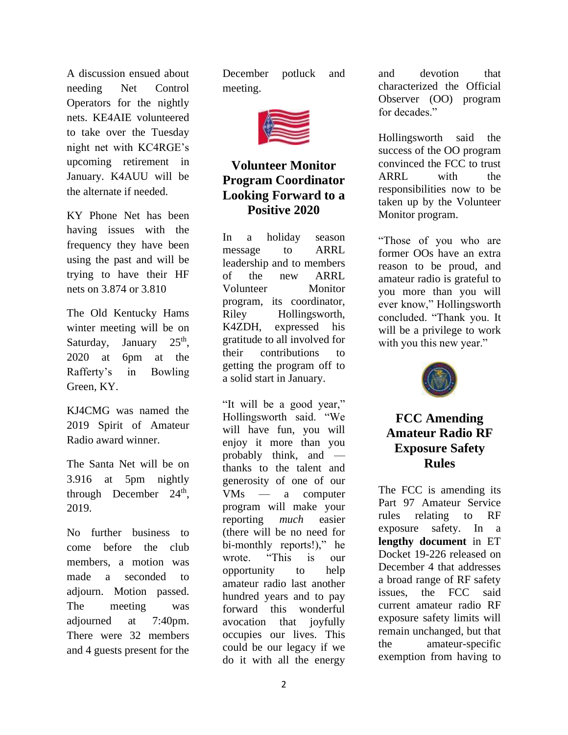A discussion ensued about needing Net Control Operators for the nightly nets. KE4AIE volunteered to take over the Tuesday night net with KC4RGE's upcoming retirement in January. K4AUU will be the alternate if needed.

KY Phone Net has been having issues with the frequency they have been using the past and will be trying to have their HF nets on 3.874 or 3.810

The Old Kentucky Hams winter meeting will be on Saturday, January  $25<sup>th</sup>$ , 2020 at 6pm at the Rafferty's in Bowling Green, KY.

KJ4CMG was named the 2019 Spirit of Amateur Radio award winner.

The Santa Net will be on 3.916 at 5pm nightly through December  $24<sup>th</sup>$ , 2019.

No further business to come before the club members, a motion was made a seconded to adjourn. Motion passed. The meeting was adjourned at 7:40pm. There were 32 members and 4 guests present for the

December potluck and meeting.



## **Volunteer Monitor Program Coordinator Looking Forward to a Positive 2020**

In a holiday season message to ARRL leadership and to members of the new ARRL Volunteer Monitor program, its coordinator, Riley Hollingsworth, K4ZDH, expressed his gratitude to all involved for their contributions to getting the program off to a solid start in January.

"It will be a good year," Hollingsworth said. "We will have fun, you will enjoy it more than you probably think, and thanks to the talent and generosity of one of our VMs — a computer program will make your reporting *much* easier (there will be no need for bi-monthly reports!)," he wrote. "This is our opportunity to help amateur radio last another hundred years and to pay forward this wonderful avocation that joyfully occupies our lives. This could be our legacy if we do it with all the energy

and devotion that characterized the Official Observer (OO) program for decades."

Hollingsworth said the success of the OO program convinced the FCC to trust ARRL with the responsibilities now to be taken up by the Volunteer Monitor program.

"Those of you who are former OOs have an extra reason to be proud, and amateur radio is grateful to you more than you will ever know," Hollingsworth concluded. "Thank you. It will be a privilege to work with you this new year."



## **FCC Amending Amateur Radio RF Exposure Safety Rules**

The FCC is amending its Part 97 Amateur Service rules relating to RF exposure safety. In a **[lengthy document](https://docs.fcc.gov/public/attachments/FCC-19-126A1.pdf)** in ET Docket 19-226 released on December 4 that addresses a broad range of RF safety issues, the FCC said current amateur radio RF exposure safety limits will remain unchanged, but that the amateur-specific exemption from having to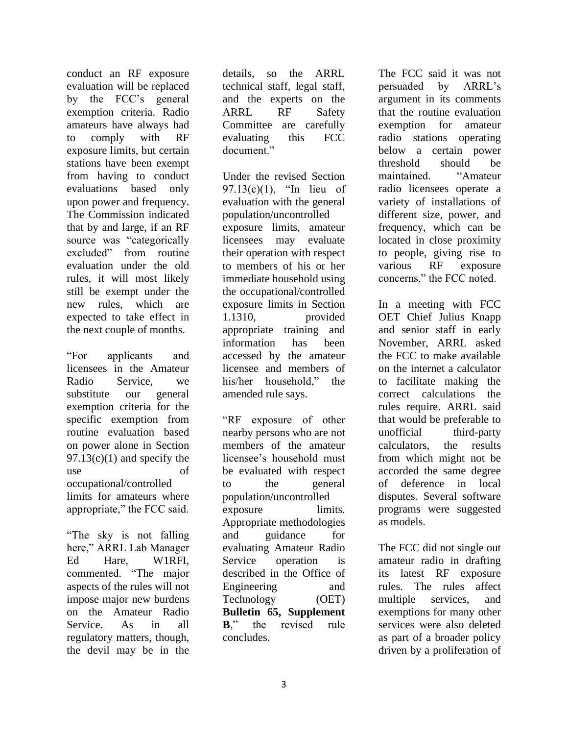conduct an RF exposure evaluation will be replaced by the FCC's general exemption criteria. Radio amateurs have always had to comply with RF exposure limits, but certain stations have been exempt from having to conduct evaluations based only upon power and frequency. The Commission indicated that by and large, if an RF source was "categorically excluded" from routine evaluation under the old rules, it will most likely still be exempt under the new rules, which are expected to take effect in the next couple of months.

"For applicants and licensees in the Amateur Radio Service, we substitute our general exemption criteria for the specific exemption from routine evaluation based on power alone in Section  $97.13(c)(1)$  and specify the use of occupational/controlled limits for amateurs where appropriate," the FCC said.

"The sky is not falling here," ARRL Lab Manager Ed Hare, W1RFI, commented. "The major aspects of the rules will not impose major new burdens on the Amateur Radio Service. As in all regulatory matters, though, the devil may be in the

details, so the ARRL technical staff, legal staff, and the experts on the ARRL RF Safety Committee are carefully evaluating this FCC document."

Under the revised Section 97.13(c)(1), "In lieu of evaluation with the general population/uncontrolled exposure limits, amateur licensees may evaluate their operation with respect to members of his or her immediate household using the occupational/controlled exposure limits in Section 1.1310, provided appropriate training and information has been accessed by the amateur licensee and members of his/her household," the amended rule says.

"RF exposure of other nearby persons who are not members of the amateur licensee's household must be evaluated with respect to the general population/uncontrolled exposure limits. Appropriate methodologies and guidance for evaluating Amateur Radio Service operation is described in the Office of Engineering and Technology (OET) **[Bulletin 65, Supplement](https://transition.fcc.gov/bureaus/oet/info/documents/bulletins/oet65/oet65b.pdf)  [B](https://transition.fcc.gov/bureaus/oet/info/documents/bulletins/oet65/oet65b.pdf)**," the revised rule concludes.

The FCC said it was not persuaded by ARRL's argument in its comments that the routine evaluation exemption for amateur radio stations operating below a certain power threshold should be maintained. "Amateur radio licensees operate a variety of installations of different size, power, and frequency, which can be located in close proximity to people, giving rise to various RF exposure concerns," the FCC noted.

In a meeting with FCC OET Chief Julius Knapp and senior staff in early November, ARRL asked the FCC to make available on the internet a calculator to facilitate making the correct calculations the rules require. ARRL said that would be preferable to unofficial third-party calculators, the results from which might not be accorded the same degree of deference in local disputes. Several software programs were suggested as models.

The FCC did not single out amateur radio in drafting its latest RF exposure rules. The rules affect multiple services, and exemptions for many other services were also deleted as part of a broader policy driven by a proliferation of